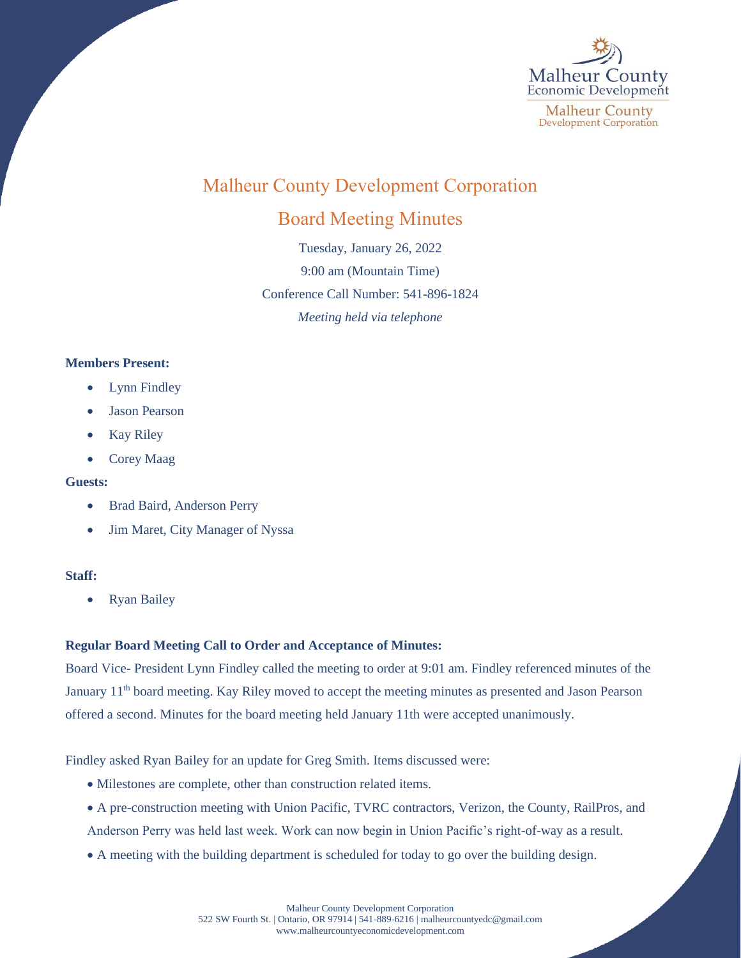

# Malheur County Development Corporation

## Board Meeting Minutes

Tuesday, January 26, 2022 9:00 am (Mountain Time) Conference Call Number: 541-896-1824 *Meeting held via telephone*

### **Members Present:**

- **Lynn Findley**
- Jason Pearson
- Kay Riley
- Corey Maag

### **Guests:**

- Brad Baird, Anderson Perry
- Jim Maret, City Manager of Nyssa

### **Staff:**

• Ryan Bailey

### **Regular Board Meeting Call to Order and Acceptance of Minutes:**

Board Vice- President Lynn Findley called the meeting to order at 9:01 am. Findley referenced minutes of the January 11<sup>th</sup> board meeting. Kay Riley moved to accept the meeting minutes as presented and Jason Pearson offered a second. Minutes for the board meeting held January 11th were accepted unanimously.

Findley asked Ryan Bailey for an update for Greg Smith. Items discussed were:

- Milestones are complete, other than construction related items.
- A pre-construction meeting with Union Pacific, TVRC contractors, Verizon, the County, RailPros, and Anderson Perry was held last week. Work can now begin in Union Pacific's right-of-way as a result.
- A meeting with the building department is scheduled for today to go over the building design.